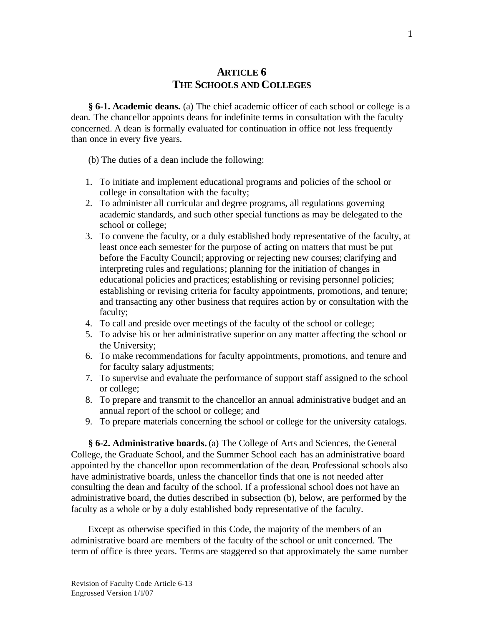### **ARTICLE 6 THE SCHOOLS AND COLLEGES**

**§ 6-1. Academic deans.** (a) The chief academic officer of each school or college is a dean. The chancellor appoints deans for indefinite terms in consultation with the faculty concerned. A dean is formally evaluated for continuation in office not less frequently than once in every five years.

(b) The duties of a dean include the following:

- 1. To initiate and implement educational programs and policies of the school or college in consultation with the faculty;
- 2. To administer all curricular and degree programs, all regulations governing academic standards, and such other special functions as may be delegated to the school or college;
- 3. To convene the faculty, or a duly established body representative of the faculty, at least once each semester for the purpose of acting on matters that must be put before the Faculty Council; approving or rejecting new courses; clarifying and interpreting rules and regulations; planning for the initiation of changes in educational policies and practices; establishing or revising personnel policies; establishing or revising criteria for faculty appointments, promotions, and tenure; and transacting any other business that requires action by or consultation with the faculty;
- 4. To call and preside over meetings of the faculty of the school or college;
- 5. To advise his or her administrative superior on any matter affecting the school or the University;
- 6. To make recommendations for faculty appointments, promotions, and tenure and for faculty salary adjustments;
- 7. To supervise and evaluate the performance of support staff assigned to the school or college;
- 8. To prepare and transmit to the chancellor an annual administrative budget and an annual report of the school or college; and
- 9. To prepare materials concerning the school or college for the university catalogs.

**§ 6-2. Administrative boards.** (a) The College of Arts and Sciences, the General College, the Graduate School, and the Summer School each has an administrative board appointed by the chancellor upon recommendation of the dean. Professional schools also have administrative boards, unless the chancellor finds that one is not needed after consulting the dean and faculty of the school. If a professional school does not have an administrative board, the duties described in subsection (b), below, are performed by the faculty as a whole or by a duly established body representative of the faculty.

Except as otherwise specified in this Code, the majority of the members of an administrative board are members of the faculty of the school or unit concerned. The term of office is three years. Terms are staggered so that approximately the same number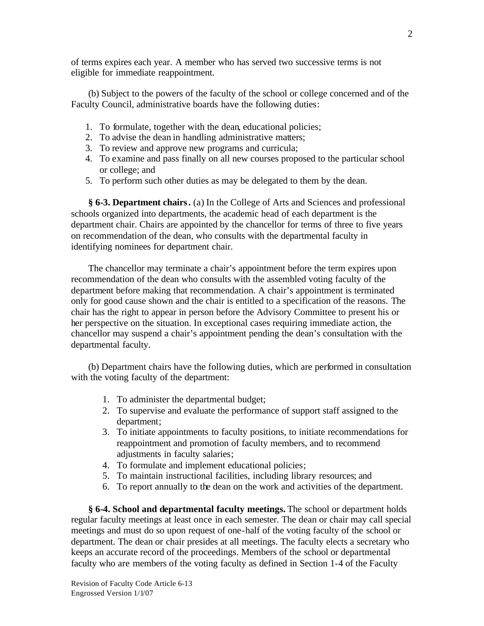of terms expires each year. A member who has served two successive terms is not eligible for immediate reappointment.

(b) Subject to the powers of the faculty of the school or college concerned and of the Faculty Council, administrative boards have the following duties:

- 1. To formulate, together with the dean, educational policies;
- 2. To advise the dean in handling administrative matters;
- 3. To review and approve new programs and curricula;
- 4. To examine and pass finally on all new courses proposed to the particular school or college; and
- 5. To perform such other duties as may be delegated to them by the dean.

**§ 6-3. Department chairs.** (a) In the College of Arts and Sciences and professional schools organized into departments, the academic head of each department is the department chair. Chairs are appointed by the chancellor for terms of three to five years on recommendation of the dean, who consults with the departmental faculty in identifying nominees for department chair.

The chancellor may terminate a chair's appointment before the term expires upon recommendation of the dean who consults with the assembled voting faculty of the department before making that recommendation. A chair's appointment is terminated only for good cause shown and the chair is entitled to a specification of the reasons. The chair has the right to appear in person before the Advisory Committee to present his or her perspective on the situation. In exceptional cases requiring immediate action, the chancellor may suspend a chair's appointment pending the dean's consultation with the departmental faculty.

(b) Department chairs have the following duties, which are performed in consultation with the voting faculty of the department:

- 1. To administer the departmental budget;
- 2. To supervise and evaluate the performance of support staff assigned to the department;
- 3. To initiate appointments to faculty positions, to initiate recommendations for reappointment and promotion of faculty members, and to recommend adjustments in faculty salaries;
- 4. To formulate and implement educational policies;
- 5. To maintain instructional facilities, including library resources; and
- 6. To report annually to the dean on the work and activities of the department.

**§ 6-4. School and departmental faculty meetings.** The school or department holds regular faculty meetings at least once in each semester. The dean or chair may call special meetings and must do so upon request of one-half of the voting faculty of the school or department. The dean or chair presides at all meetings. The faculty elects a secretary who keeps an accurate record of the proceedings. Members of the school or departmental faculty who are members of the voting faculty as defined in Section 1-4 of the Faculty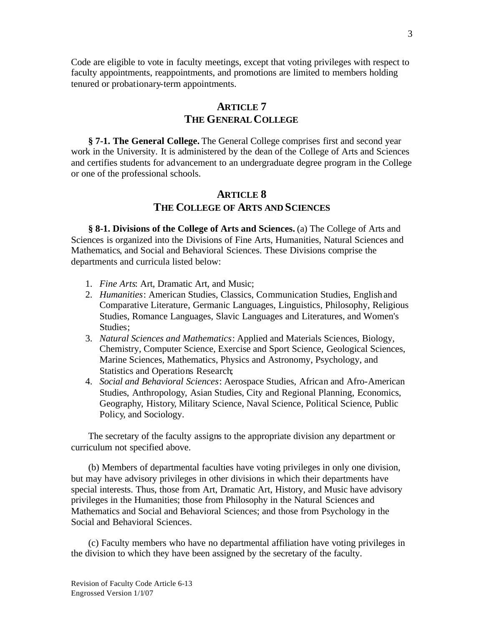Code are eligible to vote in faculty meetings, except that voting privileges with respect to faculty appointments, reappointments, and promotions are limited to members holding tenured or probationary-term appointments.

### **ARTICLE 7 THE GENERAL COLLEGE**

**§ 7-1. The General College.** The General College comprises first and second year work in the University. It is administered by the dean of the College of Arts and Sciences and certifies students for advancement to an undergraduate degree program in the College or one of the professional schools.

## **ARTICLE 8 THE COLLEGE OF ARTS AND SCIENCES**

**§ 8-1. Divisions of the College of Arts and Sciences.** (a) The College of Arts and Sciences is organized into the Divisions of Fine Arts, Humanities, Natural Sciences and Mathematics, and Social and Behavioral Sciences. These Divisions comprise the departments and curricula listed below:

- 1. *Fine Arts*: Art, Dramatic Art, and Music;
- 2. *Humanities*: American Studies, Classics, Communication Studies, English and Comparative Literature, Germanic Languages, Linguistics, Philosophy, Religious Studies, Romance Languages, Slavic Languages and Literatures, and Women's Studies;
- 3. *Natural Sciences and Mathematics*: Applied and Materials Sciences, Biology, Chemistry, Computer Science, Exercise and Sport Science, Geological Sciences, Marine Sciences, Mathematics, Physics and Astronomy, Psychology, and Statistics and Operations Research;
- 4. *Social and Behavioral Sciences*: Aerospace Studies, African and Afro-American Studies, Anthropology, Asian Studies, City and Regional Planning, Economics, Geography, History, Military Science, Naval Science, Political Science, Public Policy, and Sociology.

The secretary of the faculty assigns to the appropriate division any department or curriculum not specified above.

(b) Members of departmental faculties have voting privileges in only one division, but may have advisory privileges in other divisions in which their departments have special interests. Thus, those from Art, Dramatic Art, History, and Music have advisory privileges in the Humanities; those from Philosophy in the Natural Sciences and Mathematics and Social and Behavioral Sciences; and those from Psychology in the Social and Behavioral Sciences.

(c) Faculty members who have no departmental affiliation have voting privileges in the division to which they have been assigned by the secretary of the faculty.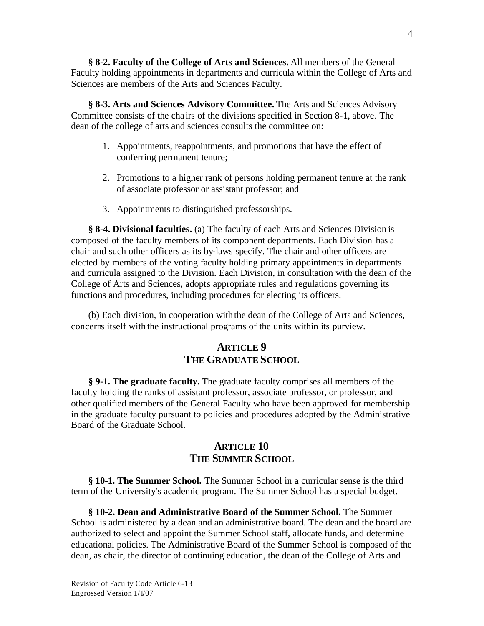**§ 8-2. Faculty of the College of Arts and Sciences.** All members of the General Faculty holding appointments in departments and curricula within the College of Arts and Sciences are members of the Arts and Sciences Faculty.

**§ 8-3. Arts and Sciences Advisory Committee.** The Arts and Sciences Advisory Committee consists of the cha irs of the divisions specified in Section 8-1, above. The dean of the college of arts and sciences consults the committee on:

- 1. Appointments, reappointments, and promotions that have the effect of conferring permanent tenure;
- 2. Promotions to a higher rank of persons holding permanent tenure at the rank of associate professor or assistant professor; and
- 3. Appointments to distinguished professorships.

**§ 8-4. Divisional faculties.** (a) The faculty of each Arts and Sciences Division is composed of the faculty members of its component departments. Each Division has a chair and such other officers as its by-laws specify. The chair and other officers are elected by members of the voting faculty holding primary appointments in departments and curricula assigned to the Division. Each Division, in consultation with the dean of the College of Arts and Sciences, adopts appropriate rules and regulations governing its functions and procedures, including procedures for electing its officers.

(b) Each division, in cooperation with the dean of the College of Arts and Sciences, concerns itself with the instructional programs of the units within its purview.

# **ARTICLE 9 THE GRADUATE SCHOOL**

**§ 9-1. The graduate faculty.** The graduate faculty comprises all members of the faculty holding the ranks of assistant professor, associate professor, or professor, and other qualified members of the General Faculty who have been approved for membership in the graduate faculty pursuant to policies and procedures adopted by the Administrative Board of the Graduate School.

## **ARTICLE 10 THE SUMMER SCHOOL**

**§ 10-1. The Summer School.** The Summer School in a curricular sense is the third term of the University's academic program. The Summer School has a special budget.

**§ 10-2. Dean and Administrative Board of the Summer School.** The Summer School is administered by a dean and an administrative board. The dean and the board are authorized to select and appoint the Summer School staff, allocate funds, and determine educational policies. The Administrative Board of the Summer School is composed of the dean, as chair, the director of continuing education, the dean of the College of Arts and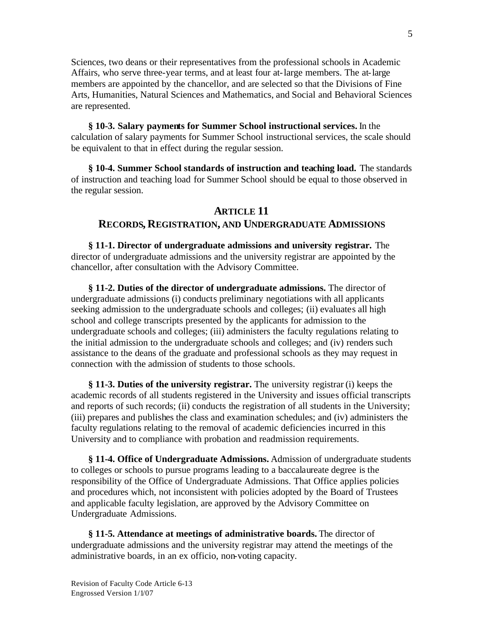Sciences, two deans or their representatives from the professional schools in Academic Affairs, who serve three-year terms, and at least four at-large members. The at-large members are appointed by the chancellor, and are selected so that the Divisions of Fine Arts, Humanities, Natural Sciences and Mathematics, and Social and Behavioral Sciences are represented.

**§ 10-3. Salary payments for Summer School instructional services.** In the calculation of salary payments for Summer School instructional services, the scale should be equivalent to that in effect during the regular session.

**§ 10-4. Summer School standards of instruction and teaching load.** The standards of instruction and teaching load for Summer School should be equal to those observed in the regular session.

#### **ARTICLE 11**

#### **RECORDS, REGISTRATION, AND UNDERGRADUATE ADMISSIONS**

**§ 11-1. Director of undergraduate admissions and university registrar.** The director of undergraduate admissions and the university registrar are appointed by the chancellor, after consultation with the Advisory Committee.

**§ 11-2. Duties of the director of undergraduate admissions.** The director of undergraduate admissions (i) conducts preliminary negotiations with all applicants seeking admission to the undergraduate schools and colleges; (ii) evaluates all high school and college transcripts presented by the applicants for admission to the undergraduate schools and colleges; (iii) administers the faculty regulations relating to the initial admission to the undergraduate schools and colleges; and (iv) renders such assistance to the deans of the graduate and professional schools as they may request in connection with the admission of students to those schools.

**§ 11-3. Duties of the university registrar.** The university registrar (i) keeps the academic records of all students registered in the University and issues official transcripts and reports of such records; (ii) conducts the registration of all students in the University; (iii) prepares and publishes the class and examination schedules; and (iv) administers the faculty regulations relating to the removal of academic deficiencies incurred in this University and to compliance with probation and readmission requirements.

**§ 11-4. Office of Undergraduate Admissions.** Admission of undergraduate students to colleges or schools to pursue programs leading to a baccalaureate degree is the responsibility of the Office of Undergraduate Admissions. That Office applies policies and procedures which, not inconsistent with policies adopted by the Board of Trustees and applicable faculty legislation, are approved by the Advisory Committee on Undergraduate Admissions.

**§ 11-5. Attendance at meetings of administrative boards.** The director of undergraduate admissions and the university registrar may attend the meetings of the administrative boards, in an ex officio, non-voting capacity.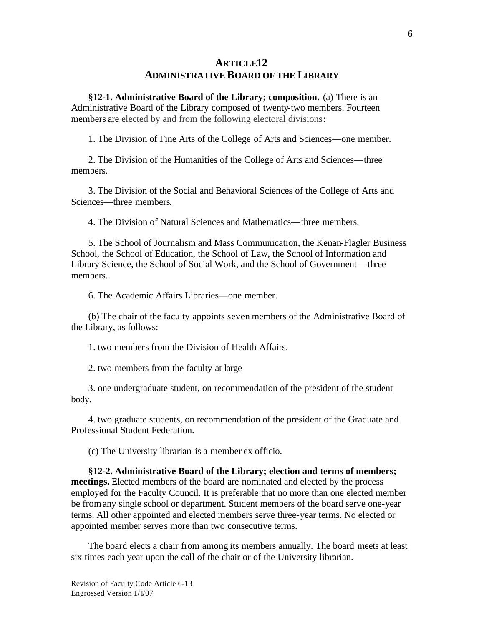# **ARTICLE12 ADMINISTRATIVE BOARD OF THE LIBRARY**

**§12-1. Administrative Board of the Library; composition.** (a) There is an Administrative Board of the Library composed of twenty-two members. Fourteen members are elected by and from the following electoral divisions:

1. The Division of Fine Arts of the College of Arts and Sciences—one member.

2. The Division of the Humanities of the College of Arts and Sciences—three members.

3. The Division of the Social and Behavioral Sciences of the College of Arts and Sciences—three members.

4. The Division of Natural Sciences and Mathematics—three members.

5. The School of Journalism and Mass Communication, the Kenan-Flagler Business School, the School of Education, the School of Law, the School of Information and Library Science, the School of Social Work, and the School of Government—three members.

6. The Academic Affairs Libraries—one member.

(b) The chair of the faculty appoints seven members of the Administrative Board of the Library, as follows:

1. two members from the Division of Health Affairs.

2. two members from the faculty at large

3. one undergraduate student, on recommendation of the president of the student body.

4. two graduate students, on recommendation of the president of the Graduate and Professional Student Federation.

(c) The University librarian is a member ex officio.

**§12-2. Administrative Board of the Library; election and terms of members; meetings.** Elected members of the board are nominated and elected by the process employed for the Faculty Council. It is preferable that no more than one elected member be from any single school or department. Student members of the board serve one-year terms. All other appointed and elected members serve three-year terms. No elected or appointed member serve s more than two consecutive terms.

The board elects a chair from among its members annually. The board meets at least six times each year upon the call of the chair or of the University librarian.